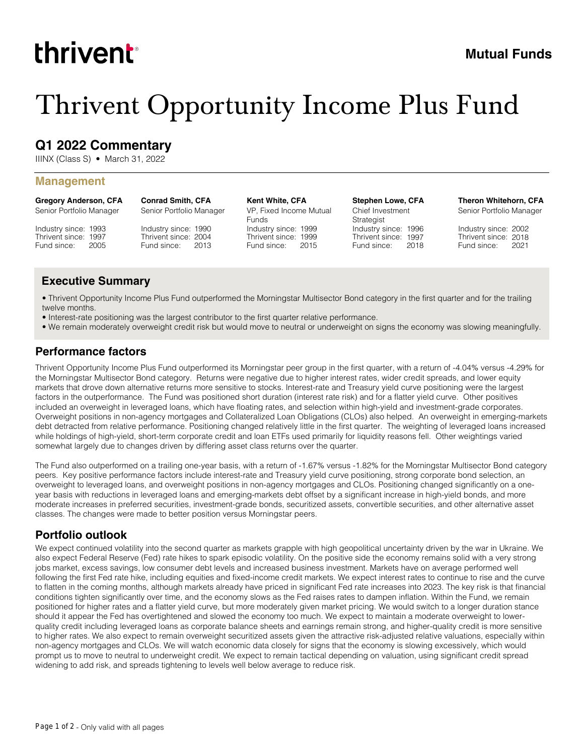# thrivent

# Thrivent Opportunity Income Plus Fund

## **Q1 2022 Commentary**

IIINX (Class S) • March 31, 2022

#### **Management**

**Gregory Anderson, CFA** Senior Portfolio Manager

Industry since: 1993 Thrivent since: 1997 Fund since: 2005

Industry since: 1990 Thrivent since: 2004 Fund since: 2013 Senior Portfolio Manager

**Conrad Smith, CFA**

**Kent White, CFA** VP, Fixed Income Mutual Funds

Industry since: 1999 Thrivent since: 1999 Fund since: 2015 **Stephen Lowe, CFA** Chief Investment Strategist Industry since: 1996 Thrivent since: 1997 Fund since: 2018 **Theron Whitehorn, CFA**

Senior Portfolio Manager

Industry since: 2002 Thrivent since: 2018 Fund since: 2021

### **Executive Summary**

• Thrivent Opportunity Income Plus Fund outperformed the Morningstar Multisector Bond category in the first quarter and for the trailing twelve months.

- Interest-rate positioning was the largest contributor to the first quarter relative performance.
- We remain moderately overweight credit risk but would move to neutral or underweight on signs the economy was slowing meaningfully.

#### **Performance factors**

Thrivent Opportunity Income Plus Fund outperformed its Morningstar peer group in the first quarter, with a return of -4.04% versus -4.29% for the Morningstar Multisector Bond category. Returns were negative due to higher interest rates, wider credit spreads, and lower equity markets that drove down alternative returns more sensitive to stocks. Interest-rate and Treasury yield curve positioning were the largest factors in the outperformance. The Fund was positioned short duration (interest rate risk) and for a flatter yield curve. Other positives included an overweight in leveraged loans, which have floating rates, and selection within high-yield and investment-grade corporates. Overweight positions in non-agency mortgages and Collateralized Loan Obligations (CLOs) also helped. An overweight in emerging-markets debt detracted from relative performance. Positioning changed relatively little in the first quarter. The weighting of leveraged loans increased while holdings of high-yield, short-term corporate credit and loan ETFs used primarily for liquidity reasons fell. Other weightings varied somewhat largely due to changes driven by differing asset class returns over the quarter.

The Fund also outperformed on a trailing one-year basis, with a return of -1.67% versus -1.82% for the Morningstar Multisector Bond category peers. Key positive performance factors include interest-rate and Treasury yield curve positioning, strong corporate bond selection, an overweight to leveraged loans, and overweight positions in non-agency mortgages and CLOs. Positioning changed significantly on a oneyear basis with reductions in leveraged loans and emerging-markets debt offset by a significant increase in high-yield bonds, and more moderate increases in preferred securities, investment-grade bonds, securitized assets, convertible securities, and other alternative asset classes. The changes were made to better position versus Morningstar peers.

### **Portfolio outlook**

We expect continued volatility into the second quarter as markets grapple with high geopolitical uncertainty driven by the war in Ukraine. We also expect Federal Reserve (Fed) rate hikes to spark episodic volatility. On the positive side the economy remains solid with a very strong jobs market, excess savings, low consumer debt levels and increased business investment. Markets have on average performed well following the first Fed rate hike, including equities and fixed-income credit markets. We expect interest rates to continue to rise and the curve to flatten in the coming months, although markets already have priced in significant Fed rate increases into 2023. The key risk is that financial conditions tighten significantly over time, and the economy slows as the Fed raises rates to dampen inflation. Within the Fund, we remain positioned for higher rates and a flatter yield curve, but more moderately given market pricing. We would switch to a longer duration stance should it appear the Fed has overtightened and slowed the economy too much. We expect to maintain a moderate overweight to lowerquality credit including leveraged loans as corporate balance sheets and earnings remain strong, and higher-quality credit is more sensitive to higher rates. We also expect to remain overweight securitized assets given the attractive risk-adjusted relative valuations, especially within non-agency mortgages and CLOs. We will watch economic data closely for signs that the economy is slowing excessively, which would prompt us to move to neutral to underweight credit. We expect to remain tactical depending on valuation, using significant credit spread widening to add risk, and spreads tightening to levels well below average to reduce risk.